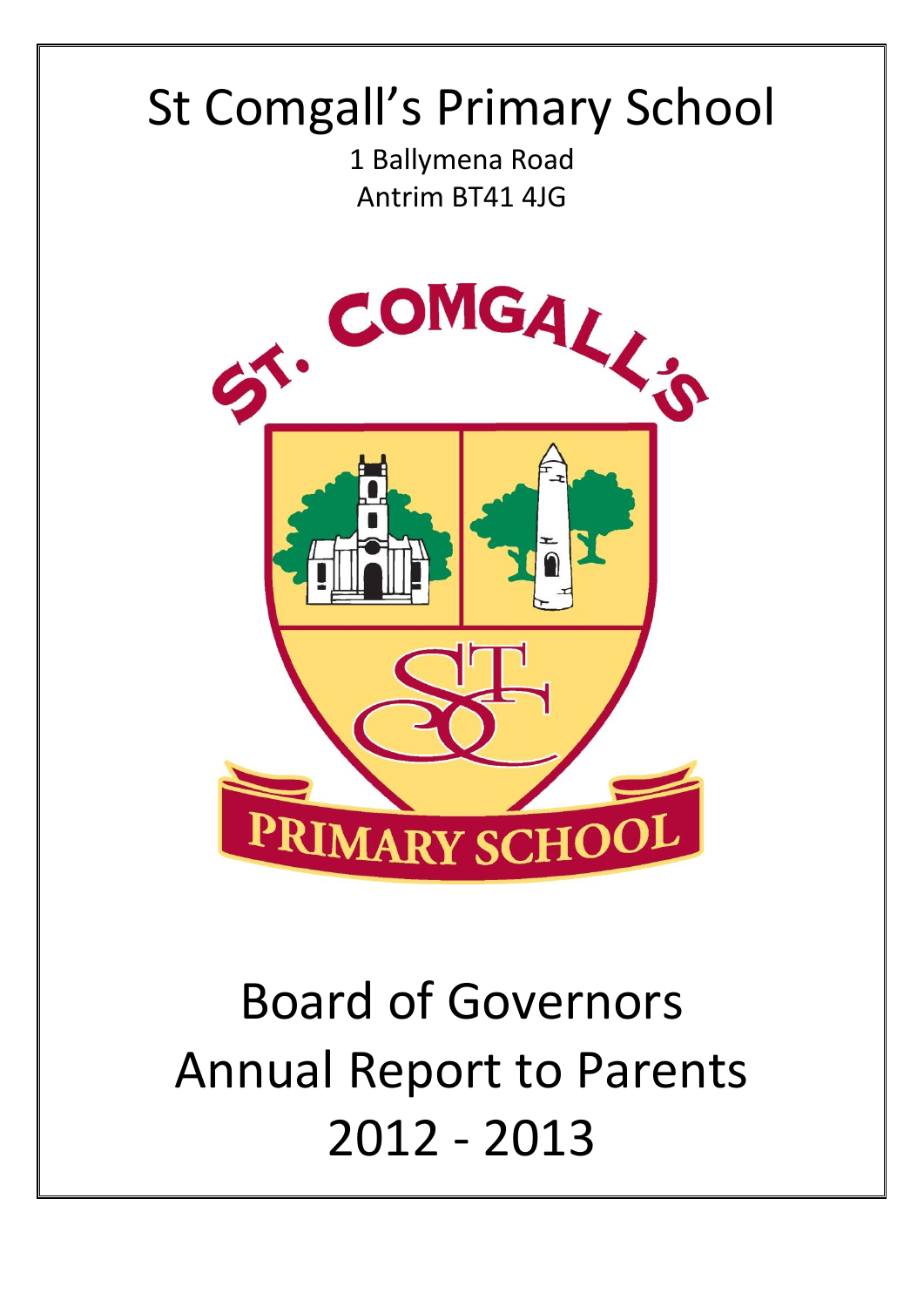# St Comgall's Primary School

1 Ballymena Road Antrim BT41 4JG



# Board of Governors Annual Report to Parents 2012 - 2013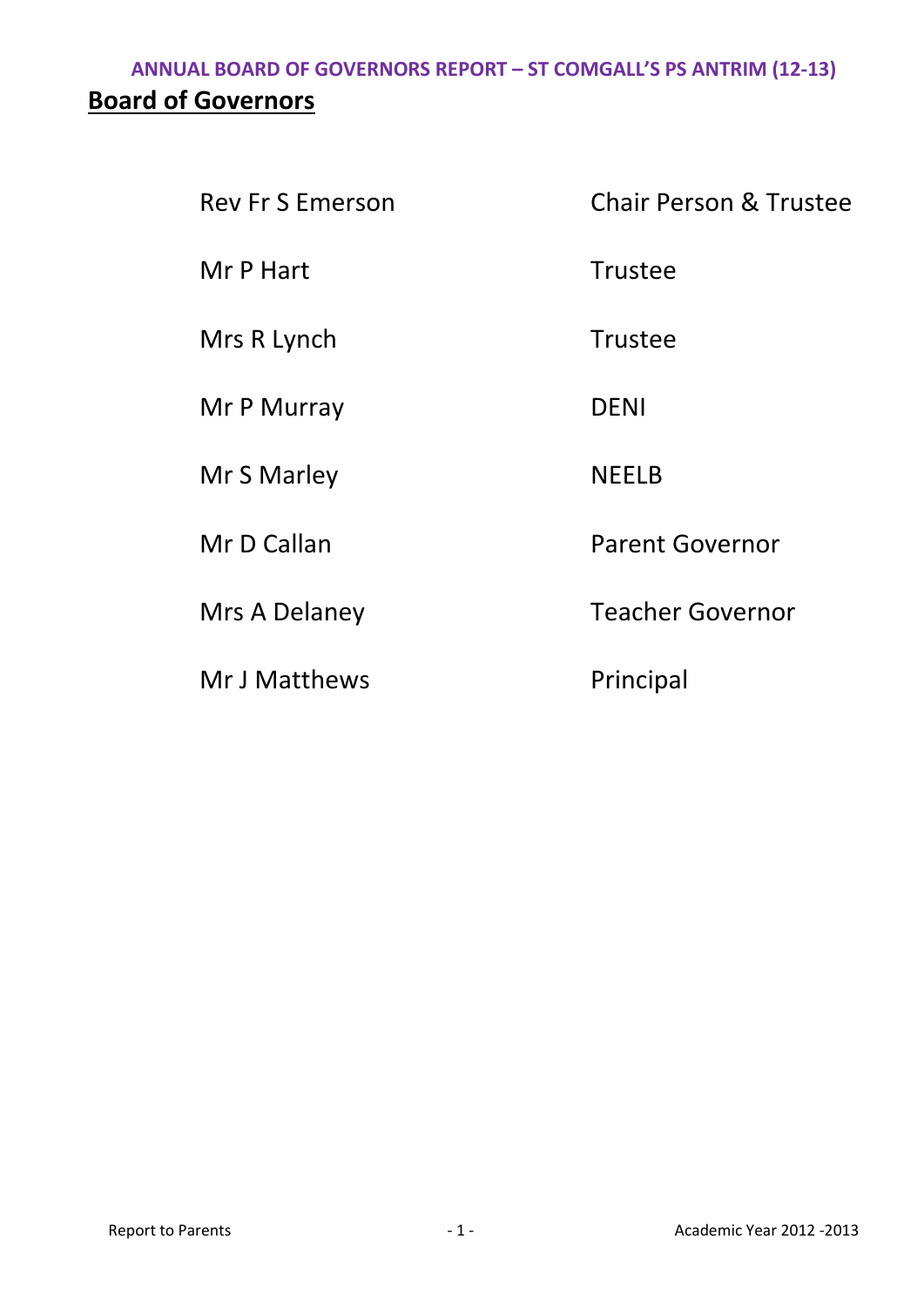# **ANNUAL BOARD OF GOVERNORS REPORT – ST COMGALL'S PS ANTRIM (12-13) Board of Governors**

| <b>Rev Fr S Emerson</b> | <b>Chair Person &amp; Trustee</b> |
|-------------------------|-----------------------------------|
| Mr P Hart               | <b>Trustee</b>                    |
| Mrs R Lynch             | <b>Trustee</b>                    |
| Mr P Murray             | <b>DENI</b>                       |
| Mr S Marley             | <b>NEELB</b>                      |
| Mr D Callan             | <b>Parent Governor</b>            |
| Mrs A Delaney           | <b>Teacher Governor</b>           |
| Mr J Matthews           | Principal                         |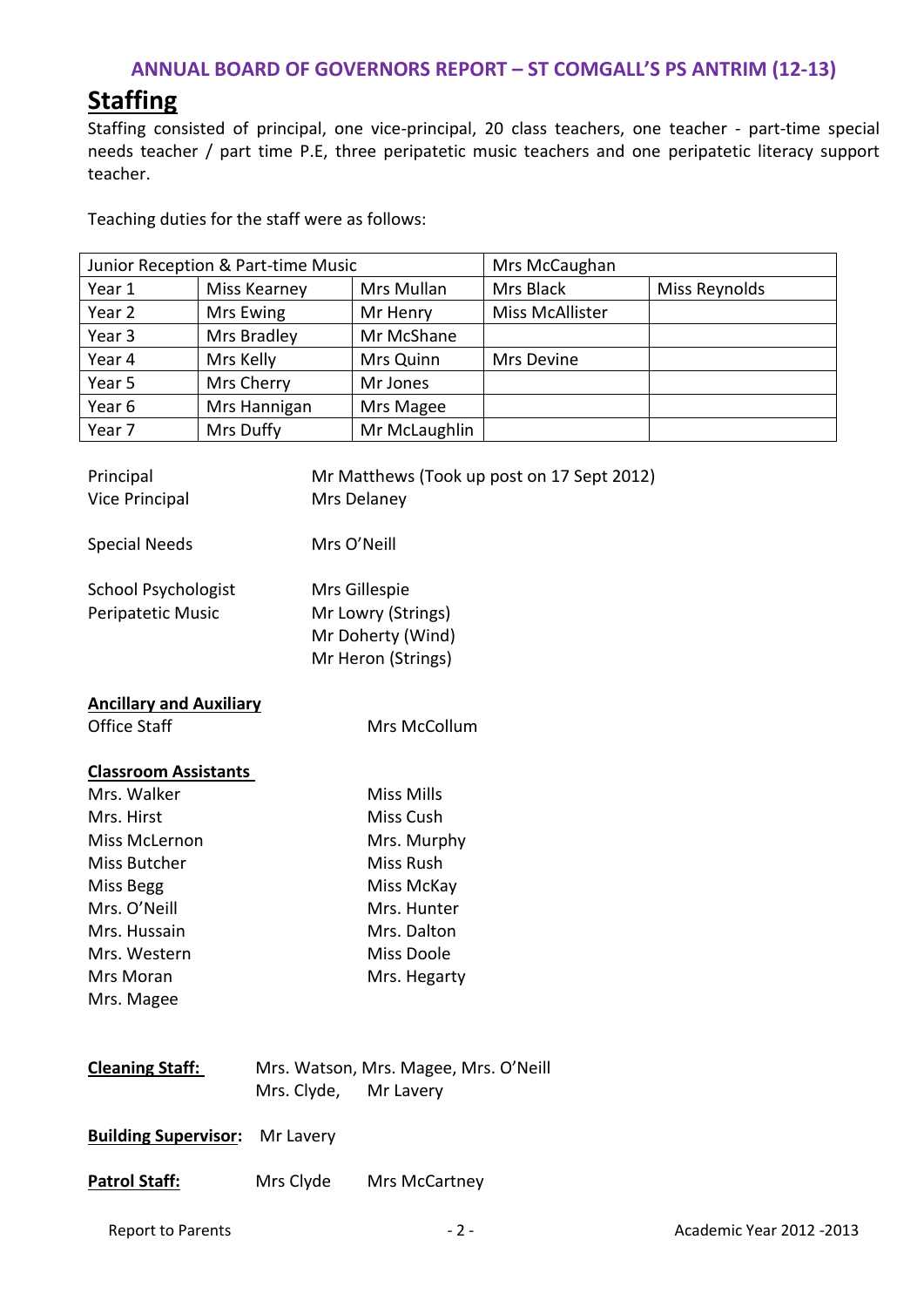# **Staffing**

Staffing consisted of principal, one vice-principal, 20 class teachers, one teacher - part-time special needs teacher / part time P.E, three peripatetic music teachers and one peripatetic literacy support teacher.

Teaching duties for the staff were as follows:

| Junior Reception & Part-time Music |              | Mrs McCaughan |                        |               |
|------------------------------------|--------------|---------------|------------------------|---------------|
| Year 1                             | Miss Kearney | Mrs Mullan    | Mrs Black              | Miss Reynolds |
| Year 2                             | Mrs Ewing    | Mr Henry      | <b>Miss McAllister</b> |               |
| Year <sub>3</sub>                  | Mrs Bradley  | Mr McShane    |                        |               |
| Year 4                             | Mrs Kelly    | Mrs Quinn     | Mrs Devine             |               |
| Year 5                             | Mrs Cherry   | Mr Jones      |                        |               |
| Year 6                             | Mrs Hannigan | Mrs Magee     |                        |               |
| Year 7                             | Mrs Duffy    | Mr McLaughlin |                        |               |

| Principal<br><b>Vice Principal</b>              |                       | Mr Matthews (Took up post on 17 Sept 2012)<br>Mrs Delaney |
|-------------------------------------------------|-----------------------|-----------------------------------------------------------|
| <b>Special Needs</b>                            | Mrs O'Neill           |                                                           |
| <b>School Psychologist</b><br>Peripatetic Music |                       | Mrs Gillespie<br>Mr Lowry (Strings)<br>Mr Doherty (Wind)  |
|                                                 |                       | Mr Heron (Strings)                                        |
| <b>Ancillary and Auxiliary</b>                  |                       |                                                           |
| <b>Office Staff</b>                             |                       | Mrs McCollum                                              |
| <b>Classroom Assistants</b>                     |                       |                                                           |
| Mrs. Walker                                     |                       | <b>Miss Mills</b>                                         |
| Mrs. Hirst                                      |                       | Miss Cush                                                 |
| Miss McLernon                                   |                       | Mrs. Murphy                                               |
| Miss Butcher                                    |                       | Miss Rush                                                 |
| Miss Begg                                       |                       | Miss McKay                                                |
| Mrs. O'Neill                                    |                       | Mrs. Hunter                                               |
| Mrs. Hussain                                    |                       | Mrs. Dalton                                               |
| Mrs. Western                                    |                       | <b>Miss Doole</b>                                         |
| Mrs Moran                                       |                       | Mrs. Hegarty                                              |
| Mrs. Magee                                      |                       |                                                           |
| <b>Cleaning Staff:</b>                          | Mrs. Clyde, Mr Lavery | Mrs. Watson, Mrs. Magee, Mrs. O'Neill                     |
| <b>Building Supervisor:</b>                     | Mr Lavery             |                                                           |
| <b>Patrol Staff:</b>                            | Mrs Clyde             | Mrs McCartney                                             |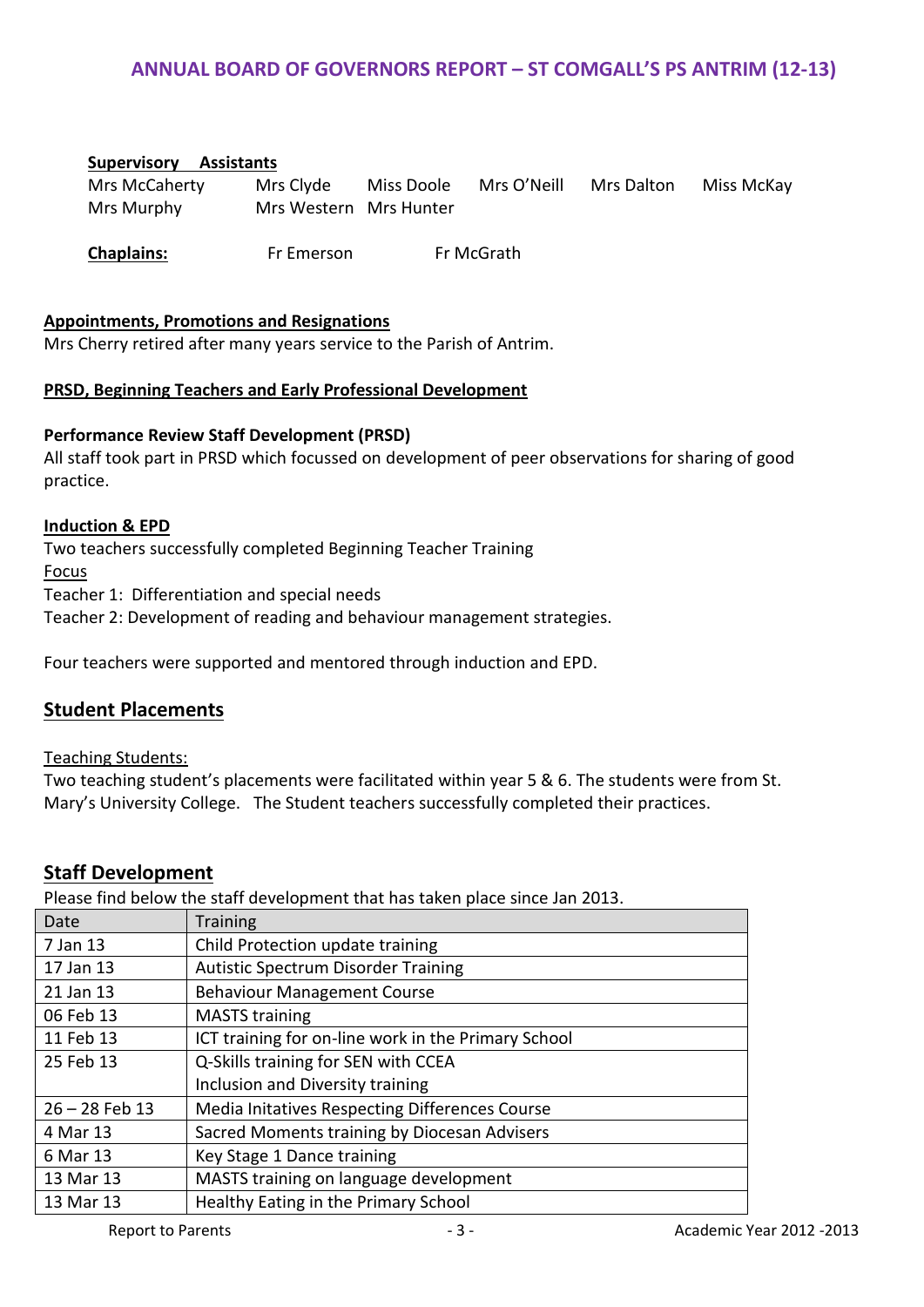#### **Supervisory Assistants**

Mrs McCaherty Mrs Clyde Miss Doole Mrs O'Neill Mrs Dalton Miss McKay Mrs Murphy Mrs Western Mrs Hunter

**Chaplains:** Fr Emerson Fr McGrath

#### **Appointments, Promotions and Resignations**

Mrs Cherry retired after many years service to the Parish of Antrim.

#### **PRSD, Beginning Teachers and Early Professional Development**

#### **Performance Review Staff Development (PRSD)**

All staff took part in PRSD which focussed on development of peer observations for sharing of good practice.

#### **Induction & EPD**

Two teachers successfully completed Beginning Teacher Training Focus Teacher 1: Differentiation and special needs

Teacher 2: Development of reading and behaviour management strategies.

Four teachers were supported and mentored through induction and EPD.

#### **Student Placements**

#### Teaching Students:

Two teaching student's placements were facilitated within year 5 & 6. The students were from St. Mary's University College. The Student teachers successfully completed their practices.

#### **Staff Development**

Please find below the staff development that has taken place since Jan 2013.

| Date             | <b>Training</b>                                     |
|------------------|-----------------------------------------------------|
| 7 Jan 13         | Child Protection update training                    |
| 17 Jan 13        | <b>Autistic Spectrum Disorder Training</b>          |
| 21 Jan 13        | <b>Behaviour Management Course</b>                  |
| 06 Feb 13        | <b>MASTS training</b>                               |
| 11 Feb 13        | ICT training for on-line work in the Primary School |
| 25 Feb 13        | Q-Skills training for SEN with CCEA                 |
|                  | Inclusion and Diversity training                    |
| $26 - 28$ Feb 13 | Media Initatives Respecting Differences Course      |
| 4 Mar 13         | Sacred Moments training by Diocesan Advisers        |
| 6 Mar 13         | Key Stage 1 Dance training                          |
| 13 Mar 13        | MASTS training on language development              |
| 13 Mar 13        | Healthy Eating in the Primary School                |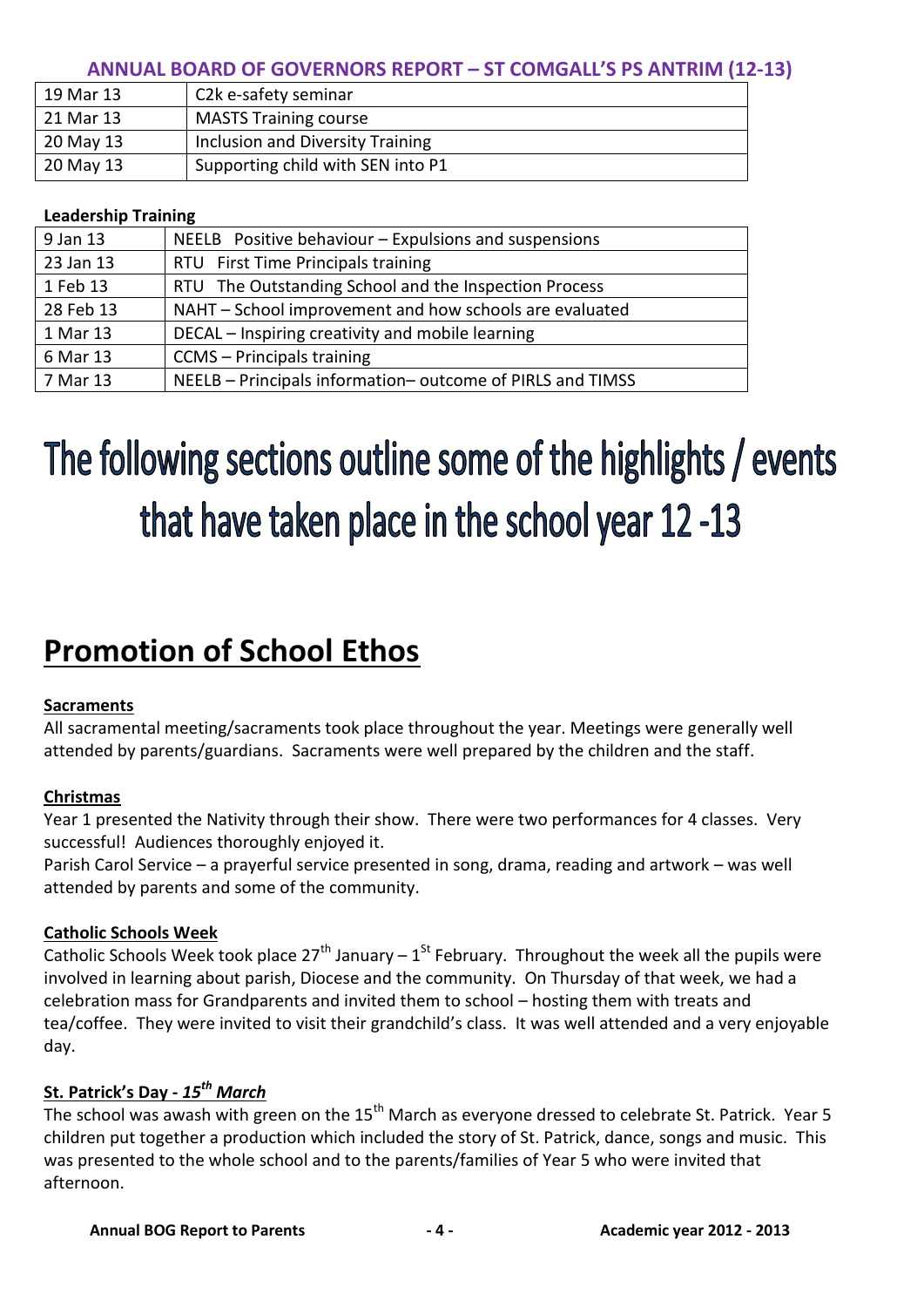| 19 Mar 13 | C2k e-safety seminar              |
|-----------|-----------------------------------|
| 21 Mar 13 | <b>MASTS Training course</b>      |
| 20 May 13 | Inclusion and Diversity Training  |
| 20 May 13 | Supporting child with SEN into P1 |

#### **Leadership Training**

| 9 Jan 13  | NEELB Positive behaviour - Expulsions and suspensions     |
|-----------|-----------------------------------------------------------|
| 23 Jan 13 | RTU First Time Principals training                        |
| 1 Feb 13  | RTU The Outstanding School and the Inspection Process     |
| 28 Feb 13 | NAHT - School improvement and how schools are evaluated   |
| 1 Mar 13  | DECAL – Inspiring creativity and mobile learning          |
| 6 Mar 13  | CCMS - Principals training                                |
| 7 Mar 13  | NEELB - Principals information-outcome of PIRLS and TIMSS |

# The following sections outline some of the highlights / events that have taken place in the school year 12-13

# **Promotion of School Ethos**

#### **Sacraments**

All sacramental meeting/sacraments took place throughout the year. Meetings were generally well attended by parents/guardians. Sacraments were well prepared by the children and the staff.

# **Christmas**

Year 1 presented the Nativity through their show. There were two performances for 4 classes. Very successful! Audiences thoroughly enjoyed it.

Parish Carol Service – a prayerful service presented in song, drama, reading and artwork – was well attended by parents and some of the community.

#### **Catholic Schools Week**

Catholic Schools Week took place 27<sup>th</sup> January – 1<sup>St</sup> February. Throughout the week all the pupils were involved in learning about parish, Diocese and the community. On Thursday of that week, we had a celebration mass for Grandparents and invited them to school – hosting them with treats and tea/coffee. They were invited to visit their grandchild's class. It was well attended and a very enjoyable day.

# **St. Patrick's Day -** *15th March*

The school was awash with green on the 15<sup>th</sup> March as everyone dressed to celebrate St. Patrick. Year 5 children put together a production which included the story of St. Patrick, dance, songs and music. This was presented to the whole school and to the parents/families of Year 5 who were invited that afternoon.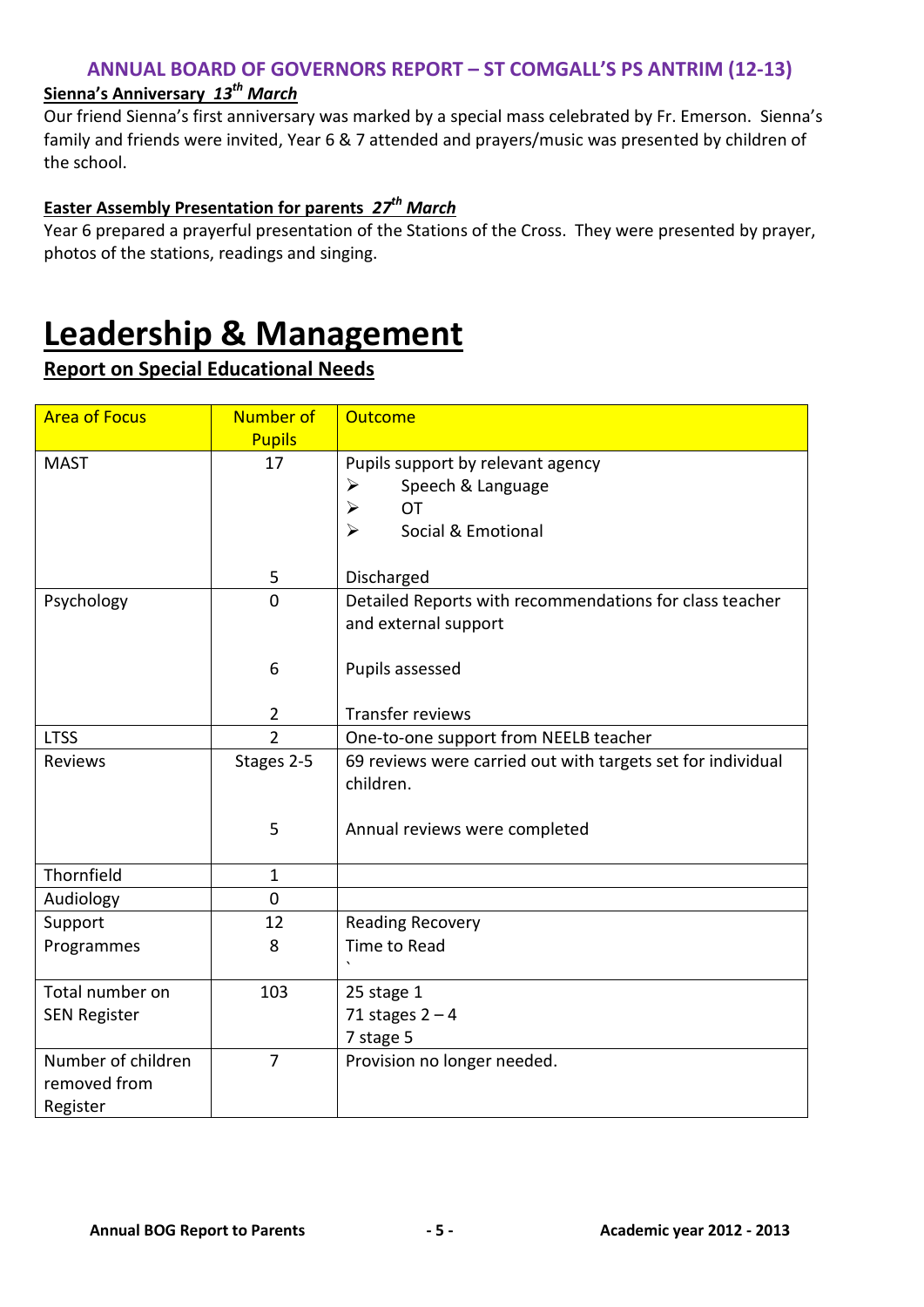# **Sienna's Anniversary** *13th March*

Our friend Sienna's first anniversary was marked by a special mass celebrated by Fr. Emerson. Sienna's family and friends were invited, Year 6 & 7 attended and prayers/music was presented by children of the school.

# **Easter Assembly Presentation for parents** *27th March*

Year 6 prepared a prayerful presentation of the Stations of the Cross. They were presented by prayer, photos of the stations, readings and singing.

# **Leadership & Management**

# **Report on Special Educational Needs**

| <b>Area of Focus</b> | Number of<br><b>Pupils</b> | <b>Outcome</b>                                              |  |
|----------------------|----------------------------|-------------------------------------------------------------|--|
| <b>MAST</b>          | 17                         | Pupils support by relevant agency                           |  |
|                      |                            | Speech & Language<br>➤                                      |  |
|                      |                            | <b>OT</b><br>➤                                              |  |
|                      |                            | $\blacktriangleright$<br>Social & Emotional                 |  |
|                      | 5                          | Discharged                                                  |  |
| Psychology           | $\overline{0}$             | Detailed Reports with recommendations for class teacher     |  |
|                      |                            | and external support                                        |  |
|                      |                            |                                                             |  |
|                      | 6                          | Pupils assessed                                             |  |
|                      |                            |                                                             |  |
|                      | $\overline{2}$             | Transfer reviews                                            |  |
| <b>LTSS</b>          | $\overline{2}$             | One-to-one support from NEELB teacher                       |  |
| Reviews              | Stages 2-5                 | 69 reviews were carried out with targets set for individual |  |
|                      |                            | children.                                                   |  |
|                      | 5                          |                                                             |  |
|                      |                            | Annual reviews were completed                               |  |
| Thornfield           | $\mathbf{1}$               |                                                             |  |
| Audiology            | $\mathbf 0$                |                                                             |  |
| Support              | 12                         | <b>Reading Recovery</b>                                     |  |
| Programmes           | 8                          | Time to Read                                                |  |
|                      |                            |                                                             |  |
| Total number on      | 103                        | 25 stage 1                                                  |  |
| <b>SEN Register</b>  |                            | 71 stages $2 - 4$                                           |  |
|                      |                            | 7 stage 5                                                   |  |
| Number of children   | $\overline{7}$             | Provision no longer needed.                                 |  |
| removed from         |                            |                                                             |  |
| Register             |                            |                                                             |  |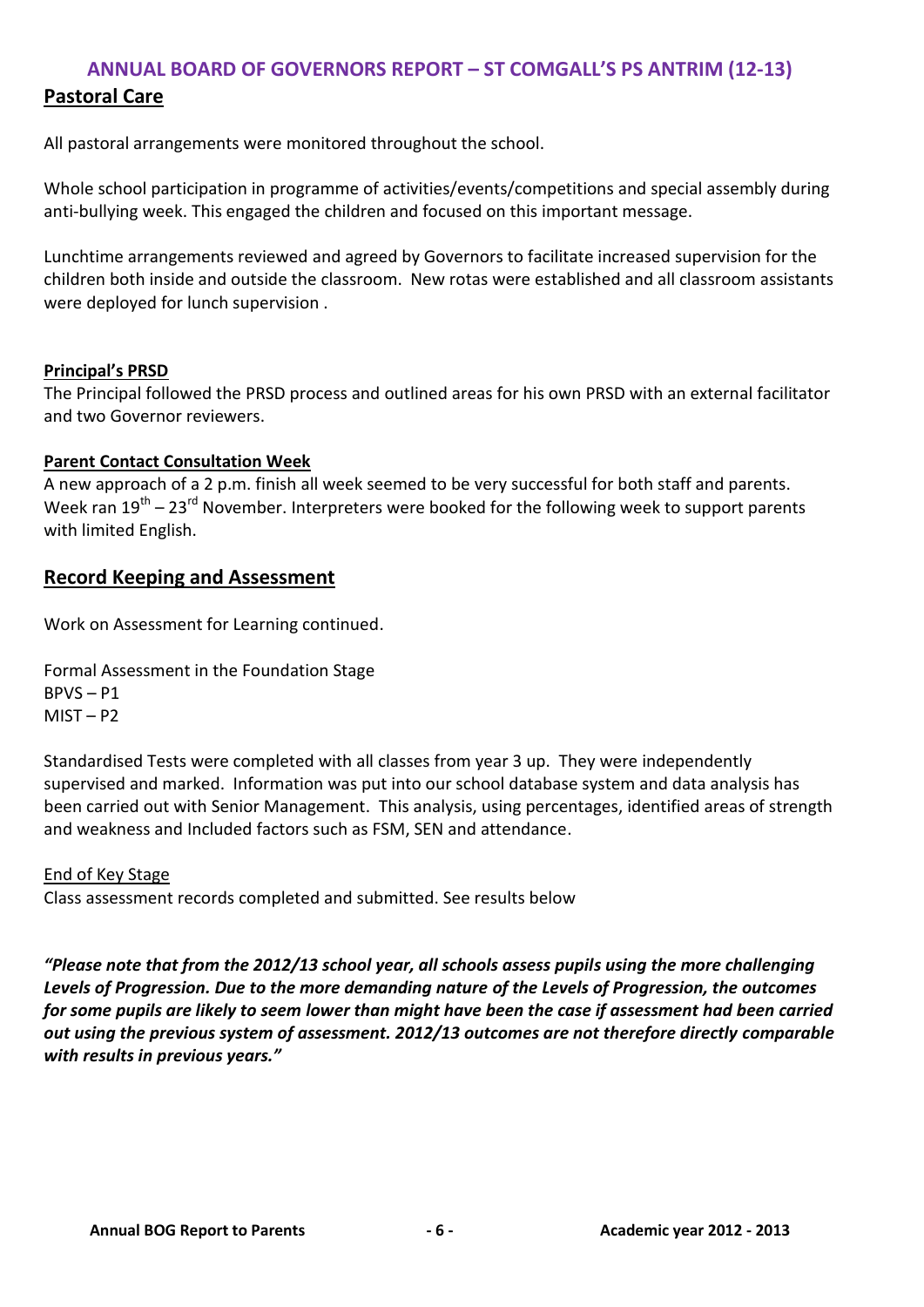# **Pastoral Care**

All pastoral arrangements were monitored throughout the school.

Whole school participation in programme of activities/events/competitions and special assembly during anti-bullying week. This engaged the children and focused on this important message.

Lunchtime arrangements reviewed and agreed by Governors to facilitate increased supervision for the children both inside and outside the classroom. New rotas were established and all classroom assistants were deployed for lunch supervision .

#### **Principal's PRSD**

The Principal followed the PRSD process and outlined areas for his own PRSD with an external facilitator and two Governor reviewers.

#### **Parent Contact Consultation Week**

A new approach of a 2 p.m. finish all week seemed to be very successful for both staff and parents. Week ran  $19^{\text{th}} - 23^{\text{rd}}$  November. Interpreters were booked for the following week to support parents with limited English.

### **Record Keeping and Assessment**

Work on Assessment for Learning continued.

Formal Assessment in the Foundation Stage BPVS – P1  $MIST - P2$ 

Standardised Tests were completed with all classes from year 3 up. They were independently supervised and marked. Information was put into our school database system and data analysis has been carried out with Senior Management. This analysis, using percentages, identified areas of strength and weakness and Included factors such as FSM, SEN and attendance.

#### End of Key Stage

Class assessment records completed and submitted. See results below

*"Please note that from the 2012/13 school year, all schools assess pupils using the more challenging Levels of Progression. Due to the more demanding nature of the Levels of Progression, the outcomes for some pupils are likely to seem lower than might have been the case if assessment had been carried out using the previous system of assessment. 2012/13 outcomes are not therefore directly comparable with results in previous years."*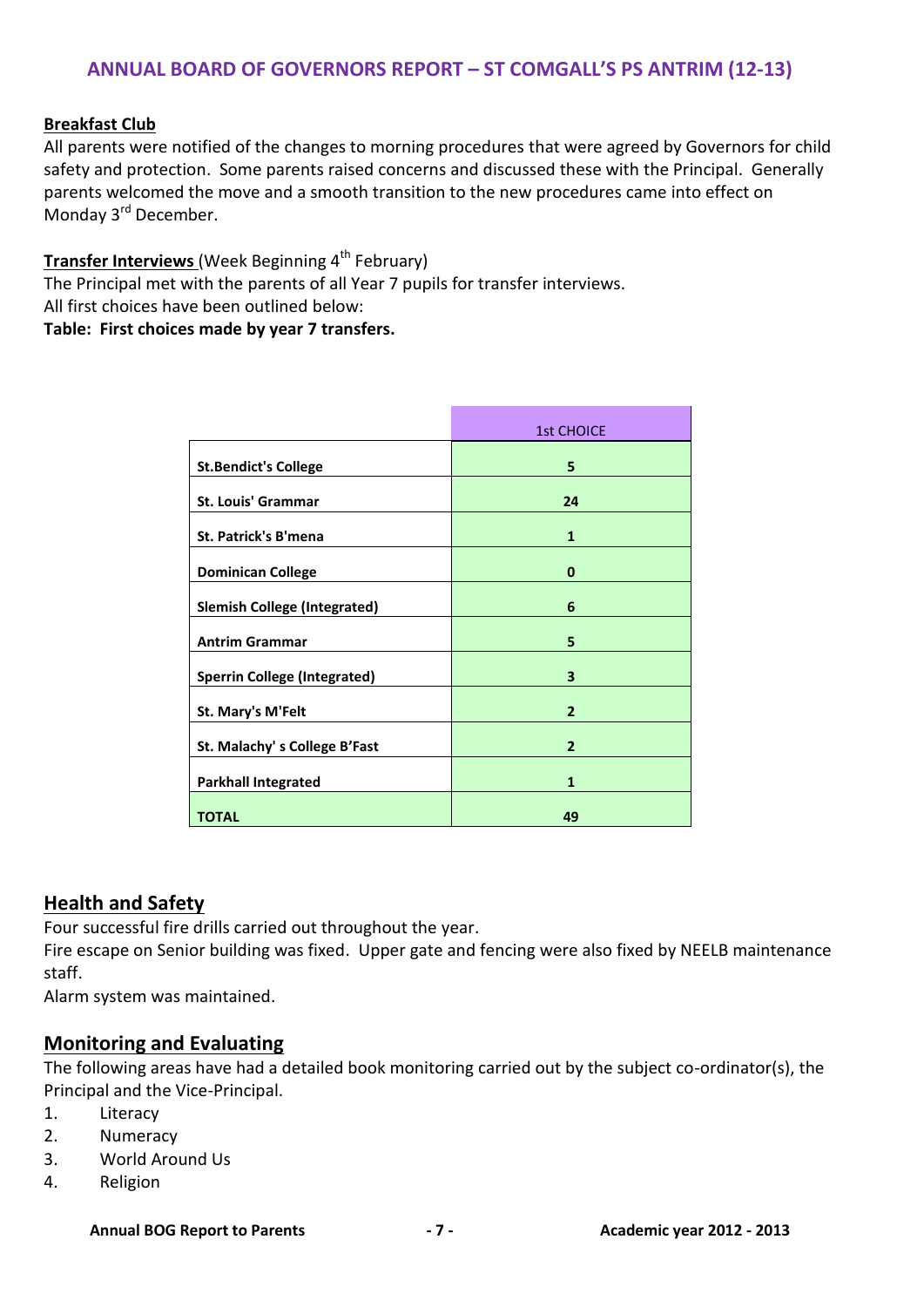#### **Breakfast Club**

All parents were notified of the changes to morning procedures that were agreed by Governors for child safety and protection. Some parents raised concerns and discussed these with the Principal. Generally parents welcomed the move and a smooth transition to the new procedures came into effect on Monday 3<sup>rd</sup> December.

#### **Transfer Interviews** (Week Beginning 4<sup>th</sup> February)

The Principal met with the parents of all Year 7 pupils for transfer interviews. All first choices have been outlined below:

**Table: First choices made by year 7 transfers.**

|                                     | <b>1st CHOICE</b> |
|-------------------------------------|-------------------|
| <b>St.Bendict's College</b>         | 5                 |
| <b>St. Louis' Grammar</b>           | 24                |
| <b>St. Patrick's B'mena</b>         | $\mathbf{1}$      |
| <b>Dominican College</b>            | 0                 |
| <b>Slemish College (Integrated)</b> | 6                 |
| <b>Antrim Grammar</b>               | 5                 |
| <b>Sperrin College (Integrated)</b> | 3                 |
| St. Mary's M'Felt                   | $\overline{2}$    |
| St. Malachy's College B'Fast        | $\overline{2}$    |
| <b>Parkhall Integrated</b>          | $\mathbf{1}$      |
| <b>TOTAL</b>                        | 49                |

#### **Health and Safety**

Four successful fire drills carried out throughout the year.

Fire escape on Senior building was fixed. Upper gate and fencing were also fixed by NEELB maintenance staff.

Alarm system was maintained.

#### **Monitoring and Evaluating**

The following areas have had a detailed book monitoring carried out by the subject co-ordinator(s), the Principal and the Vice-Principal.

- 1. Literacy
- 2. Numeracy
- 3. World Around Us
- 4. Religion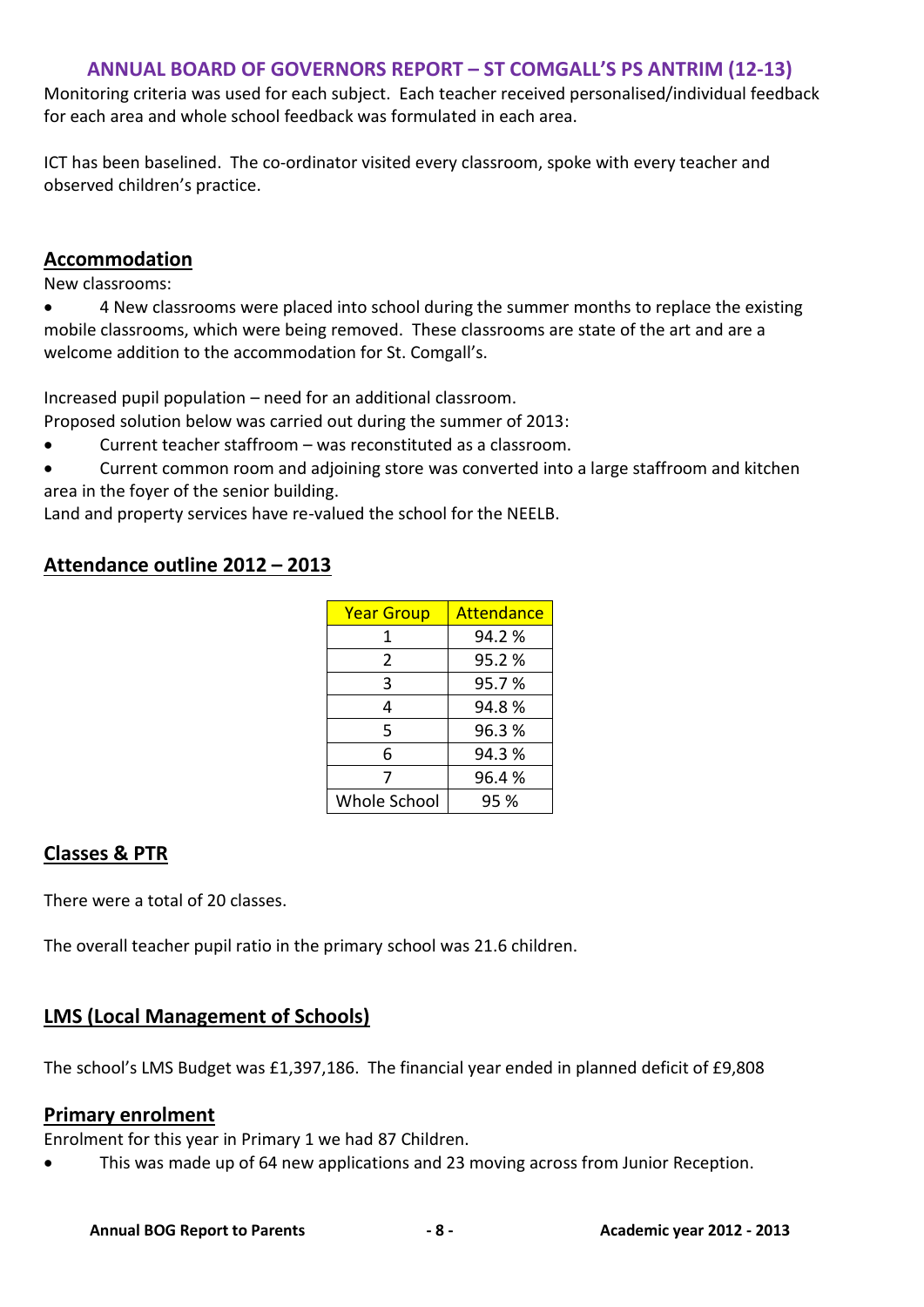Monitoring criteria was used for each subject. Each teacher received personalised/individual feedback for each area and whole school feedback was formulated in each area.

ICT has been baselined. The co-ordinator visited every classroom, spoke with every teacher and observed children's practice.

# **Accommodation**

New classrooms:

 4 New classrooms were placed into school during the summer months to replace the existing mobile classrooms, which were being removed. These classrooms are state of the art and are a welcome addition to the accommodation for St. Comgall's.

Increased pupil population – need for an additional classroom.

Proposed solution below was carried out during the summer of 2013:

- Current teacher staffroom was reconstituted as a classroom.
- Current common room and adjoining store was converted into a large staffroom and kitchen area in the foyer of the senior building.

Land and property services have re-valued the school for the NEELB.

# **Attendance outline 2012 – 2013**

| <b>Year Group</b>   | Attendance |
|---------------------|------------|
| 1                   | 94.2%      |
| 2                   | 95.2%      |
| 3                   | 95.7%      |
| 4                   | 94.8%      |
| 5                   | 96.3%      |
| 6                   | 94.3%      |
| 7                   | 96.4%      |
| <b>Whole School</b> | 95 %       |

# **Classes & PTR**

There were a total of 20 classes.

The overall teacher pupil ratio in the primary school was 21.6 children.

# **LMS (Local Management of Schools)**

The school's LMS Budget was £1,397,186. The financial year ended in planned deficit of £9,808

# **Primary enrolment**

Enrolment for this year in Primary 1 we had 87 Children.

This was made up of 64 new applications and 23 moving across from Junior Reception.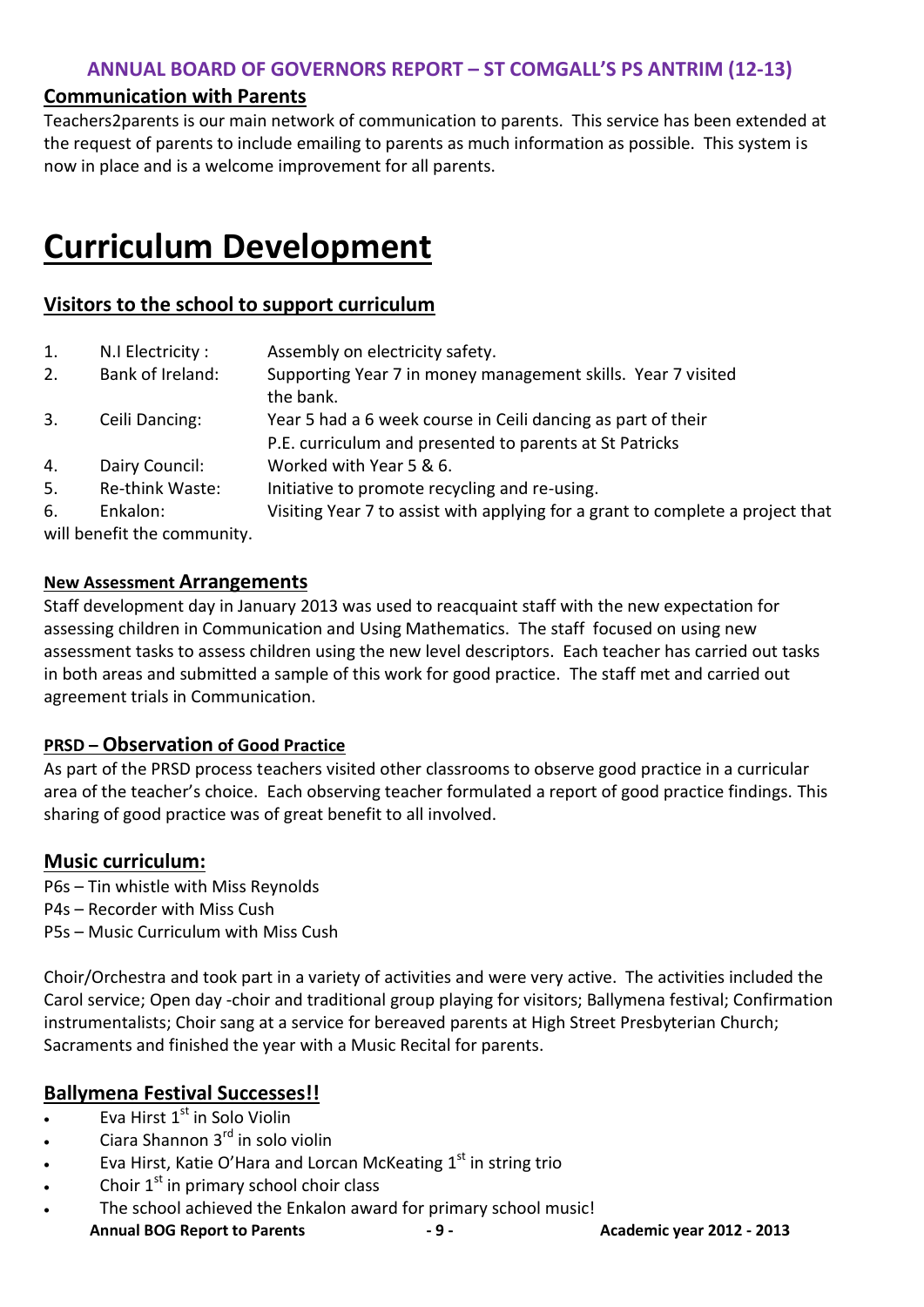#### **Communication with Parents**

Teachers2parents is our main network of communication to parents. This service has been extended at the request of parents to include emailing to parents as much information as possible. This system is now in place and is a welcome improvement for all parents.

# **Curriculum Development**

# **Visitors to the school to support curriculum**

| 1. | N.I Electricity:            | Assembly on electricity safety.                                                                                         |
|----|-----------------------------|-------------------------------------------------------------------------------------------------------------------------|
| 2. | Bank of Ireland:            | Supporting Year 7 in money management skills. Year 7 visited<br>the bank.                                               |
| 3. | Ceili Dancing:              | Year 5 had a 6 week course in Ceili dancing as part of their<br>P.E. curriculum and presented to parents at St Patricks |
| 4. | Dairy Council:              | Worked with Year 5 & 6.                                                                                                 |
| 5. | Re-think Waste:             | Initiative to promote recycling and re-using.                                                                           |
| 6. | Enkalon:                    | Visiting Year 7 to assist with applying for a grant to complete a project that                                          |
|    | will benefit the community. |                                                                                                                         |

#### **New Assessment Arrangements**

Staff development day in January 2013 was used to reacquaint staff with the new expectation for assessing children in Communication and Using Mathematics. The staff focused on using new assessment tasks to assess children using the new level descriptors. Each teacher has carried out tasks in both areas and submitted a sample of this work for good practice. The staff met and carried out agreement trials in Communication.

#### **PRSD – Observation of Good Practice**

As part of the PRSD process teachers visited other classrooms to observe good practice in a curricular area of the teacher's choice. Each observing teacher formulated a report of good practice findings. This sharing of good practice was of great benefit to all involved.

#### **Music curriculum:**

P6s – Tin whistle with Miss Reynolds P4s – Recorder with Miss Cush P5s – Music Curriculum with Miss Cush

Choir/Orchestra and took part in a variety of activities and were very active. The activities included the Carol service; Open day -choir and traditional group playing for visitors; Ballymena festival; Confirmation instrumentalists; Choir sang at a service for bereaved parents at High Street Presbyterian Church; Sacraments and finished the year with a Music Recital for parents.

# **Ballymena Festival Successes!!**

- $\overline{\cdot}$  Eva Hirst  $1^{st}$  in Solo Violin
- $\bullet$  Ciara Shannon 3<sup>rd</sup> in solo violin
- $\qquad \qquad$  Eva Hirst, Katie O'Hara and Lorcan McKeating  $1^\text{st}$  in string trio
- Choir  $1<sup>st</sup>$  in primary school choir class
- **Annual BOG Report to Parents - 9 - Academic year 2012 - 2013** The school achieved the Enkalon award for primary school music!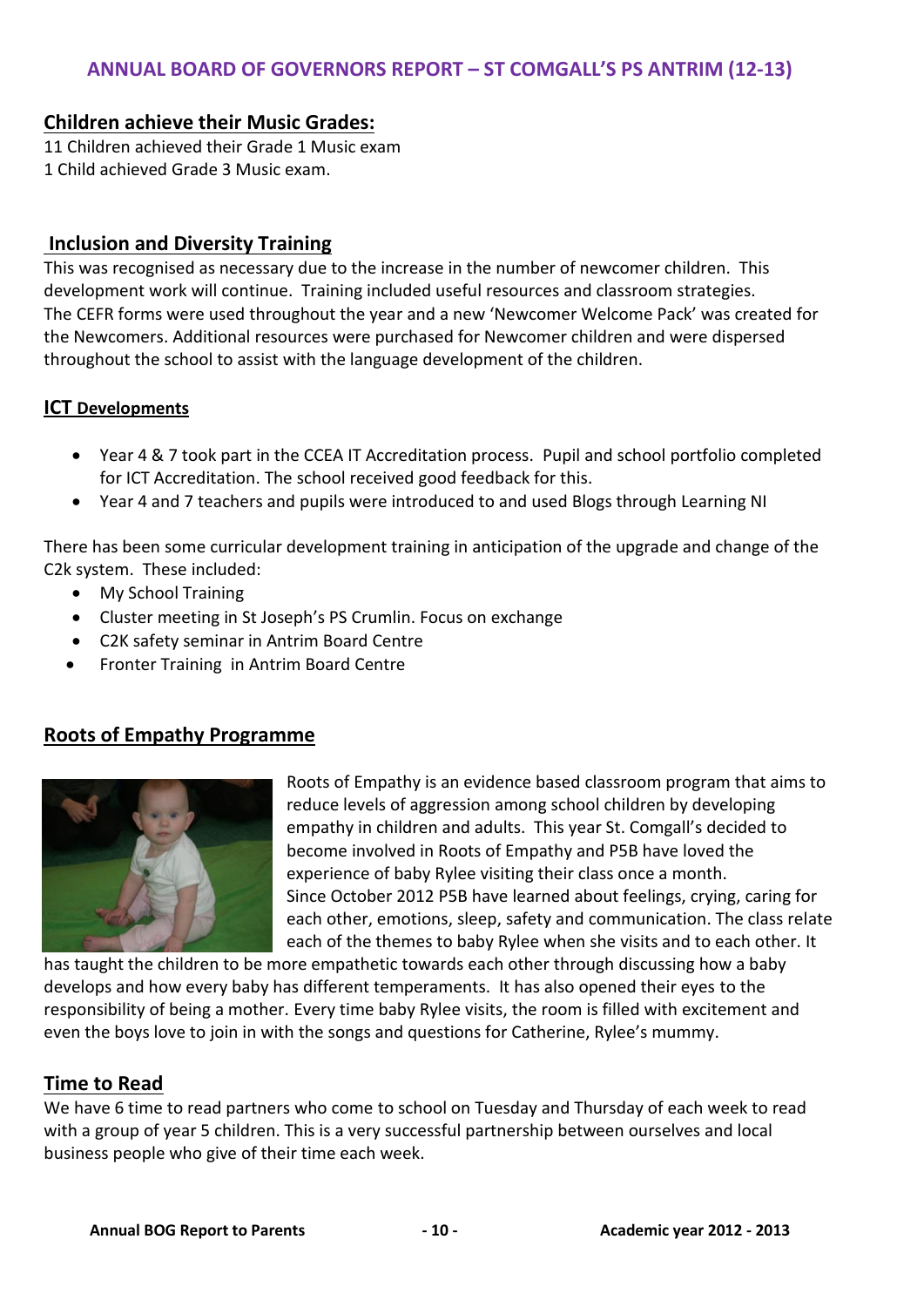#### **Children achieve their Music Grades:**

11 Children achieved their Grade 1 Music exam 1 Child achieved Grade 3 Music exam.

#### **Inclusion and Diversity Training**

This was recognised as necessary due to the increase in the number of newcomer children. This development work will continue. Training included useful resources and classroom strategies. The CEFR forms were used throughout the year and a new 'Newcomer Welcome Pack' was created for the Newcomers. Additional resources were purchased for Newcomer children and were dispersed throughout the school to assist with the language development of the children.

#### **ICT Developments**

- Year 4 & 7 took part in the CCEA IT Accreditation process. Pupil and school portfolio completed for ICT Accreditation. The school received good feedback for this.
- Year 4 and 7 teachers and pupils were introduced to and used Blogs through Learning NI

There has been some curricular development training in anticipation of the upgrade and change of the C2k system. These included:

- My School Training
- Cluster meeting in St Joseph's PS Crumlin. Focus on exchange
- C2K safety seminar in Antrim Board Centre
- Fronter Training in Antrim Board Centre

# **Roots of Empathy Programme**



Roots of Empathy is an evidence based classroom program that aims to reduce levels of aggression among school children by developing empathy in children and adults. This year St. Comgall's decided to become involved in Roots of Empathy and P5B have loved the experience of baby Rylee visiting their class once a month. Since October 2012 P5B have learned about feelings, crying, caring for each other, emotions, sleep, safety and communication. The class relate each of the themes to baby Rylee when she visits and to each other. It

has taught the children to be more empathetic towards each other through discussing how a baby develops and how every baby has different temperaments. It has also opened their eyes to the responsibility of being a mother. Every time baby Rylee visits, the room is filled with excitement and even the boys love to join in with the songs and questions for Catherine, Rylee's mummy.

# **Time to Read**

We have 6 time to read partners who come to school on Tuesday and Thursday of each week to read with a group of year 5 children. This is a very successful partnership between ourselves and local business people who give of their time each week.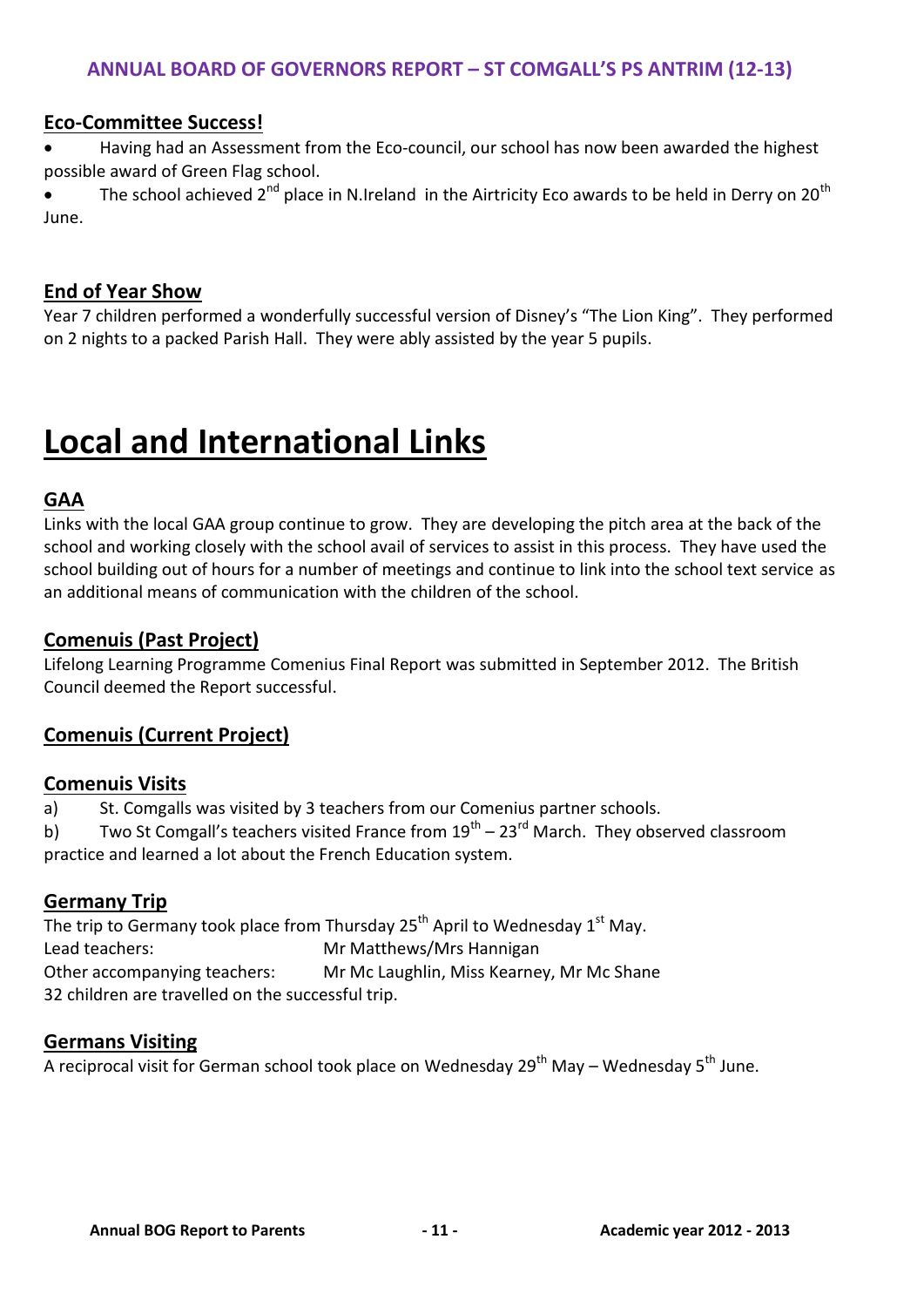### **Eco-Committee Success!**

 Having had an Assessment from the Eco-council, our school has now been awarded the highest possible award of Green Flag school.

• The school achieved 2<sup>nd</sup> place in N.Ireland in the Airtricity Eco awards to be held in Derry on 20<sup>th</sup> June.

#### **End of Year Show**

Year 7 children performed a wonderfully successful version of Disney's "The Lion King". They performed on 2 nights to a packed Parish Hall. They were ably assisted by the year 5 pupils.

# **Local and International Links**

# **GAA**

Links with the local GAA group continue to grow. They are developing the pitch area at the back of the school and working closely with the school avail of services to assist in this process. They have used the school building out of hours for a number of meetings and continue to link into the school text service as an additional means of communication with the children of the school.

#### **Comenuis (Past Project)**

Lifelong Learning Programme Comenius Final Report was submitted in September 2012. The British Council deemed the Report successful.

# **Comenuis (Current Project)**

#### **Comenuis Visits**

a) St. Comgalls was visited by 3 teachers from our Comenius partner schools.

b) Two St Comgall's teachers visited France from  $19^{th}$  – 23<sup>rd</sup> March. They observed classroom practice and learned a lot about the French Education system.

# **Germany Trip**

The trip to Germany took place from Thursday  $25<sup>th</sup>$  April to Wednesday 1<sup>st</sup> May. Lead teachers: Mr Matthews/Mrs Hannigan Other accompanying teachers: Mr Mc Laughlin, Miss Kearney, Mr Mc Shane 32 children are travelled on the successful trip.

#### **Germans Visiting**

A reciprocal visit for German school took place on Wednesday  $29<sup>th</sup>$  May – Wednesday  $5<sup>th</sup>$  June.